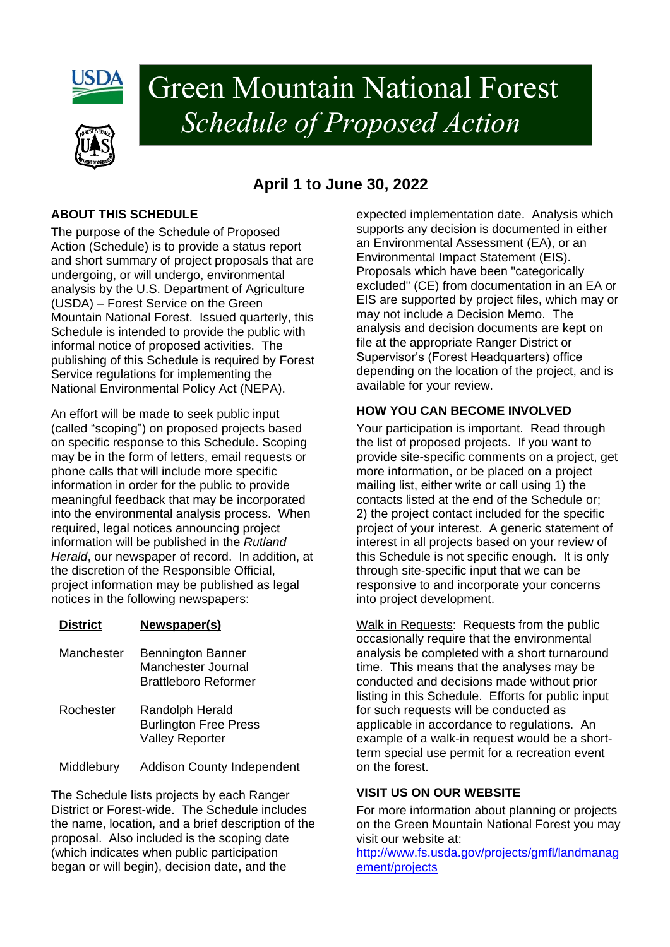

# Green Mountain National Forest  *Schedule of Proposed Action*

### **April 1 to June 30, 2022**

#### **ABOUT THIS SCHEDULE**

The purpose of the Schedule of Proposed Action (Schedule) is to provide a status report and short summary of project proposals that are undergoing, or will undergo, environmental analysis by the U.S. Department of Agriculture (USDA) – Forest Service on the Green Mountain National Forest. Issued quarterly, this Schedule is intended to provide the public with informal notice of proposed activities. The publishing of this Schedule is required by Forest Service regulations for implementing the National Environmental Policy Act (NEPA).

An effort will be made to seek public input (called "scoping") on proposed projects based on specific response to this Schedule. Scoping may be in the form of letters, email requests or phone calls that will include more specific information in order for the public to provide meaningful feedback that may be incorporated into the environmental analysis process. When required, legal notices announcing project information will be published in the *Rutland Herald*, our newspaper of record. In addition, at the discretion of the Responsible Official, project information may be published as legal notices in the following newspapers:

#### **District Newspaper(s)**

Manchester Bennington Banner Manchester Journal Brattleboro Reformer Rochester Randolph Herald Burlington Free Press Valley Reporter

Middlebury Addison County Independent

The Schedule lists projects by each Ranger District or Forest-wide. The Schedule includes the name, location, and a brief description of the proposal. Also included is the scoping date (which indicates when public participation began or will begin), decision date, and the

expected implementation date. Analysis which supports any decision is documented in either an Environmental Assessment (EA), or an Environmental Impact Statement (EIS). Proposals which have been "categorically excluded" (CE) from documentation in an EA or EIS are supported by project files, which may or may not include a Decision Memo. The analysis and decision documents are kept on file at the appropriate Ranger District or Supervisor's (Forest Headquarters) office depending on the location of the project, and is available for your review.

#### **HOW YOU CAN BECOME INVOLVED**

Your participation is important. Read through the list of proposed projects. If you want to provide site-specific comments on a project, get more information, or be placed on a project mailing list, either write or call using 1) the contacts listed at the end of the Schedule or; 2) the project contact included for the specific project of your interest. A generic statement of interest in all projects based on your review of this Schedule is not specific enough. It is only through site-specific input that we can be responsive to and incorporate your concerns into project development.

Walk in Requests: Requests from the public occasionally require that the environmental analysis be completed with a short turnaround time. This means that the analyses may be conducted and decisions made without prior listing in this Schedule. Efforts for public input for such requests will be conducted as applicable in accordance to regulations. An example of a walk-in request would be a shortterm special use permit for a recreation event on the forest.

#### **VISIT US ON OUR WEBSITE**

For more information about planning or projects on the Green Mountain National Forest you may visit our website at:

[http://www.fs.usda.gov/projects/gmfl/landmanag](http://www.fs.usda.gov/projects/gmfl/landmanagement/projects) [ement/projects](http://www.fs.usda.gov/projects/gmfl/landmanagement/projects)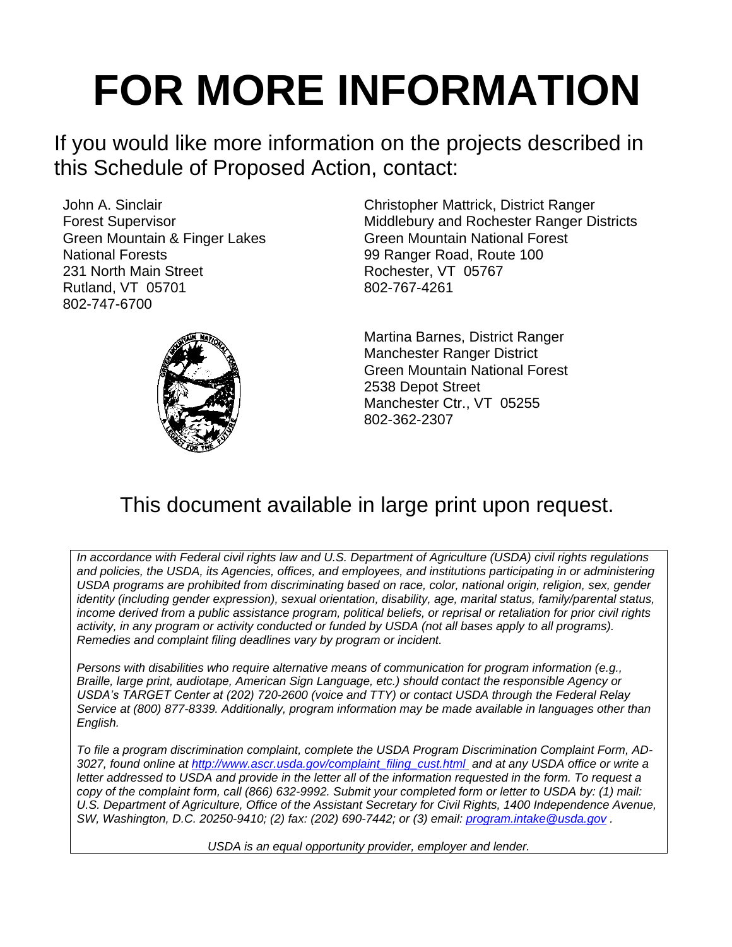# **FOR MORE INFORMATION**

If you would like more information on the projects described in this Schedule of Proposed Action, contact:

John A. Sinclair Forest Supervisor Green Mountain & Finger Lakes National Forests 231 North Main Street Rutland, VT 05701 802-747-6700



Christopher Mattrick, District Ranger Middlebury and Rochester Ranger Districts Green Mountain National Forest 99 Ranger Road, Route 100 Rochester, VT 05767 802-767-4261

Martina Barnes, District Ranger Manchester Ranger District Green Mountain National Forest 2538 Depot Street Manchester Ctr., VT 05255 802-362-2307

## This document available in large print upon request.

*In accordance with Federal civil rights law and U.S. Department of Agriculture (USDA) civil rights regulations and policies, the USDA, its Agencies, offices, and employees, and institutions participating in or administering USDA programs are prohibited from discriminating based on race, color, national origin, religion, sex, gender identity (including gender expression), sexual orientation, disability, age, marital status, family/parental status, income derived from a public assistance program, political beliefs, or reprisal or retaliation for prior civil rights activity, in any program or activity conducted or funded by USDA (not all bases apply to all programs). Remedies and complaint filing deadlines vary by program or incident.*

*Persons with disabilities who require alternative means of communication for program information (e.g., Braille, large print, audiotape, American Sign Language, etc.) should contact the responsible Agency or USDA's TARGET Center at (202) 720-2600 (voice and TTY) or contact USDA through the Federal Relay Service at (800) 877-8339. Additionally, program information may be made available in languages other than English.* 

*To file a program discrimination complaint, complete the USDA Program Discrimination Complaint Form, AD-3027, found online at [http://www.ascr.usda.gov/complaint\\_filing\\_cust.html](http://www.ascr.usda.gov/complaint_filing_cust.html) and at any USDA office or write a letter addressed to USDA and provide in the letter all of the information requested in the form. To request a copy of the complaint form, call (866) 632-9992. Submit your completed form or letter to USDA by: (1) mail: U.S. Department of Agriculture, Office of the Assistant Secretary for Civil Rights, 1400 Independence Avenue, SW, Washington, D.C. 20250-9410; (2) fax: (202) 690-7442; or (3) email: [program.intake@usda.gov](mailto:program.intake@usda.gov) .*

*USDA is an equal opportunity provider, employer and lender.*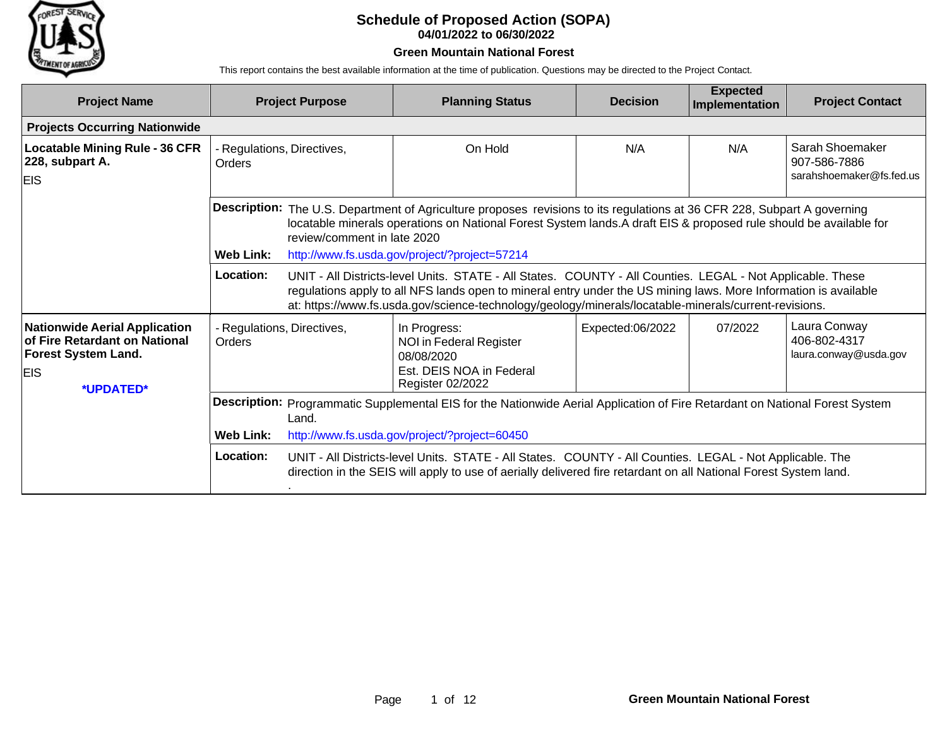

#### **Schedule of Proposed Action (SOPA) 04/01/2022 to 06/30/2022**

#### **Green Mountain National Forest**

This report contains the best available information at the time of publication. Questions may be directed to the Project Contact.

| <b>Project Name</b>                                                                                                            | <b>Project Purpose</b>                                            |                                                                                                                                                                                                                                                                                                                                         | <b>Planning Status</b>                                                                                                                                                                                                       | <b>Decision</b>  | <b>Expected</b><br>Implementation | <b>Project Contact</b>                                      |  |  |
|--------------------------------------------------------------------------------------------------------------------------------|-------------------------------------------------------------------|-----------------------------------------------------------------------------------------------------------------------------------------------------------------------------------------------------------------------------------------------------------------------------------------------------------------------------------------|------------------------------------------------------------------------------------------------------------------------------------------------------------------------------------------------------------------------------|------------------|-----------------------------------|-------------------------------------------------------------|--|--|
| <b>Projects Occurring Nationwide</b>                                                                                           |                                                                   |                                                                                                                                                                                                                                                                                                                                         |                                                                                                                                                                                                                              |                  |                                   |                                                             |  |  |
| <b>Locatable Mining Rule - 36 CFR</b><br>228, subpart A.<br><b>EIS</b>                                                         | - Regulations, Directives,<br>Orders                              |                                                                                                                                                                                                                                                                                                                                         | On Hold                                                                                                                                                                                                                      | N/A              | N/A                               | Sarah Shoemaker<br>907-586-7886<br>sarahshoemaker@fs.fed.us |  |  |
|                                                                                                                                |                                                                   | <b>Description:</b> The U.S. Department of Agriculture proposes revisions to its regulations at 36 CFR 228, Subpart A governing<br>locatable minerals operations on National Forest System lands. A draft EIS & proposed rule should be available for<br>review/comment in late 2020                                                    |                                                                                                                                                                                                                              |                  |                                   |                                                             |  |  |
|                                                                                                                                | <b>Web Link:</b><br>http://www.fs.usda.gov/project/?project=57214 |                                                                                                                                                                                                                                                                                                                                         |                                                                                                                                                                                                                              |                  |                                   |                                                             |  |  |
|                                                                                                                                | <b>Location:</b>                                                  | UNIT - All Districts-level Units. STATE - All States. COUNTY - All Counties. LEGAL - Not Applicable. These<br>regulations apply to all NFS lands open to mineral entry under the US mining laws. More Information is available<br>at: https://www.fs.usda.gov/science-technology/geology/minerals/locatable-minerals/current-revisions. |                                                                                                                                                                                                                              |                  |                                   |                                                             |  |  |
| <b>Nationwide Aerial Application</b><br>of Fire Retardant on National<br><b>Forest System Land.</b><br><b>EIS</b><br>*UPDATED* | - Regulations, Directives,<br><b>Orders</b>                       |                                                                                                                                                                                                                                                                                                                                         | In Progress:<br>NOI in Federal Register<br>08/08/2020<br>Est. DEIS NOA in Federal<br>Register 02/2022                                                                                                                        | Expected:06/2022 | 07/2022                           | Laura Conway<br>406-802-4317<br>laura.conway@usda.gov       |  |  |
|                                                                                                                                | Land.                                                             | Description: Programmatic Supplemental EIS for the Nationwide Aerial Application of Fire Retardant on National Forest System                                                                                                                                                                                                            |                                                                                                                                                                                                                              |                  |                                   |                                                             |  |  |
|                                                                                                                                | <b>Web Link:</b>                                                  |                                                                                                                                                                                                                                                                                                                                         | http://www.fs.usda.gov/project/?project=60450                                                                                                                                                                                |                  |                                   |                                                             |  |  |
|                                                                                                                                | Location:                                                         |                                                                                                                                                                                                                                                                                                                                         | UNIT - All Districts-level Units. STATE - All States. COUNTY - All Counties. LEGAL - Not Applicable. The<br>direction in the SEIS will apply to use of aerially delivered fire retardant on all National Forest System land. |                  |                                   |                                                             |  |  |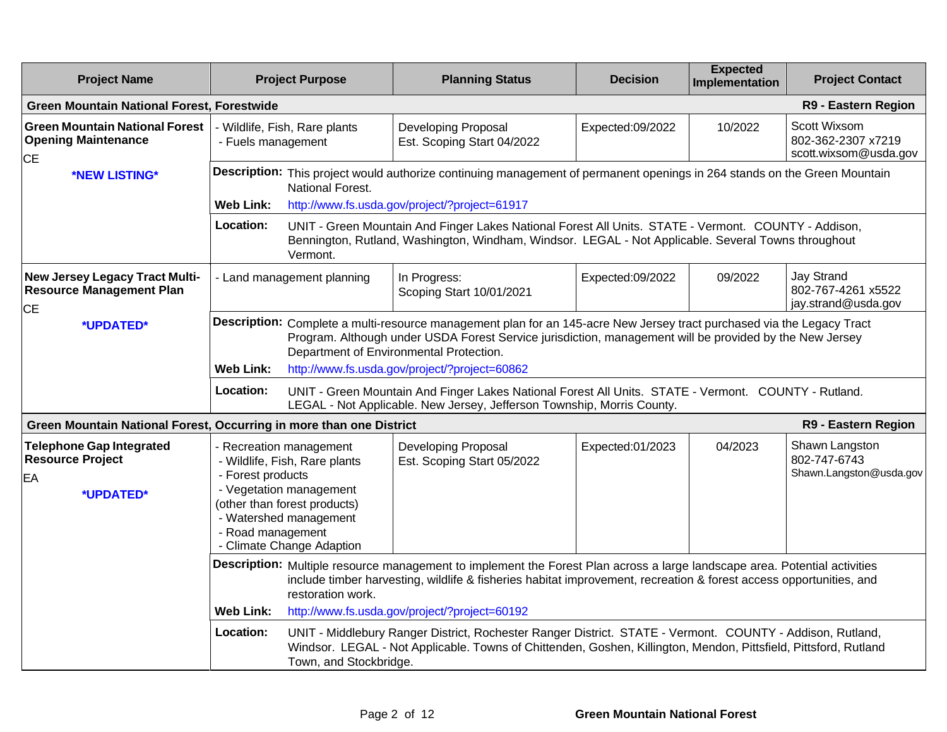| <b>Project Name</b>                                                                                |                                                                                                                                                                                                                                                                       | <b>Project Purpose</b>                                                                                                                                                                                                                                                                                                        | <b>Planning Status</b>                                                                                                                                                                                                        | <b>Decision</b>  | <b>Expected</b><br>Implementation | <b>Project Contact</b>                                         |  |
|----------------------------------------------------------------------------------------------------|-----------------------------------------------------------------------------------------------------------------------------------------------------------------------------------------------------------------------------------------------------------------------|-------------------------------------------------------------------------------------------------------------------------------------------------------------------------------------------------------------------------------------------------------------------------------------------------------------------------------|-------------------------------------------------------------------------------------------------------------------------------------------------------------------------------------------------------------------------------|------------------|-----------------------------------|----------------------------------------------------------------|--|
| <b>Green Mountain National Forest, Forestwide</b>                                                  |                                                                                                                                                                                                                                                                       |                                                                                                                                                                                                                                                                                                                               |                                                                                                                                                                                                                               |                  |                                   | R9 - Eastern Region                                            |  |
| <b>Green Mountain National Forest</b><br><b>Opening Maintenance</b><br><b>CE</b>                   | - Fuels management                                                                                                                                                                                                                                                    | - Wildlife, Fish, Rare plants                                                                                                                                                                                                                                                                                                 | Developing Proposal<br>Est. Scoping Start 04/2022                                                                                                                                                                             | Expected:09/2022 | 10/2022                           | Scott Wixsom<br>802-362-2307 x7219<br>scott.wixsom@usda.gov    |  |
| *NEW LISTING*                                                                                      |                                                                                                                                                                                                                                                                       | Description: This project would authorize continuing management of permanent openings in 264 stands on the Green Mountain<br>National Forest.                                                                                                                                                                                 |                                                                                                                                                                                                                               |                  |                                   |                                                                |  |
|                                                                                                    | <b>Web Link:</b>                                                                                                                                                                                                                                                      |                                                                                                                                                                                                                                                                                                                               | http://www.fs.usda.gov/project/?project=61917                                                                                                                                                                                 |                  |                                   |                                                                |  |
|                                                                                                    | <b>Location:</b>                                                                                                                                                                                                                                                      | Vermont.                                                                                                                                                                                                                                                                                                                      | UNIT - Green Mountain And Finger Lakes National Forest All Units. STATE - Vermont. COUNTY - Addison,<br>Bennington, Rutland, Washington, Windham, Windsor. LEGAL - Not Applicable. Several Towns throughout                   |                  |                                   |                                                                |  |
| <b>New Jersey Legacy Tract Multi-</b><br><b>Resource Management Plan</b><br><b>CE</b>              |                                                                                                                                                                                                                                                                       | - Land management planning                                                                                                                                                                                                                                                                                                    | In Progress:<br>Scoping Start 10/01/2021                                                                                                                                                                                      | Expected:09/2022 | 09/2022                           | <b>Jay Strand</b><br>802-767-4261 x5522<br>jay.strand@usda.gov |  |
| *UPDATED*                                                                                          | <b>Web Link:</b>                                                                                                                                                                                                                                                      | Description: Complete a multi-resource management plan for an 145-acre New Jersey tract purchased via the Legacy Tract<br>Program. Although under USDA Forest Service jurisdiction, management will be provided by the New Jersey<br>Department of Environmental Protection.<br>http://www.fs.usda.gov/project/?project=60862 |                                                                                                                                                                                                                               |                  |                                   |                                                                |  |
|                                                                                                    | Location:                                                                                                                                                                                                                                                             |                                                                                                                                                                                                                                                                                                                               | UNIT - Green Mountain And Finger Lakes National Forest All Units. STATE - Vermont. COUNTY - Rutland.<br>LEGAL - Not Applicable. New Jersey, Jefferson Township, Morris County.                                                |                  |                                   |                                                                |  |
| Green Mountain National Forest, Occurring in more than one District                                |                                                                                                                                                                                                                                                                       |                                                                                                                                                                                                                                                                                                                               |                                                                                                                                                                                                                               |                  |                                   | R9 - Eastern Region                                            |  |
| <b>Telephone Gap Integrated</b><br><b>Resource Project</b><br>- Forest products<br>EA<br>*UPDATED* |                                                                                                                                                                                                                                                                       | - Recreation management<br>- Wildlife, Fish, Rare plants<br>- Vegetation management<br>(other than forest products)<br>- Watershed management<br>- Road management<br>- Climate Change Adaption                                                                                                                               | Developing Proposal<br>Est. Scoping Start 05/2022                                                                                                                                                                             | Expected:01/2023 | 04/2023                           | Shawn Langston<br>802-747-6743<br>Shawn.Langston@usda.gov      |  |
|                                                                                                    | Description: Multiple resource management to implement the Forest Plan across a large landscape area. Potential activities<br>include timber harvesting, wildlife & fisheries habitat improvement, recreation & forest access opportunities, and<br>restoration work. |                                                                                                                                                                                                                                                                                                                               |                                                                                                                                                                                                                               |                  |                                   |                                                                |  |
|                                                                                                    | <b>Web Link:</b>                                                                                                                                                                                                                                                      |                                                                                                                                                                                                                                                                                                                               | http://www.fs.usda.gov/project/?project=60192                                                                                                                                                                                 |                  |                                   |                                                                |  |
|                                                                                                    | <b>Location:</b>                                                                                                                                                                                                                                                      | Town, and Stockbridge.                                                                                                                                                                                                                                                                                                        | UNIT - Middlebury Ranger District, Rochester Ranger District. STATE - Vermont. COUNTY - Addison, Rutland,<br>Windsor. LEGAL - Not Applicable. Towns of Chittenden, Goshen, Killington, Mendon, Pittsfield, Pittsford, Rutland |                  |                                   |                                                                |  |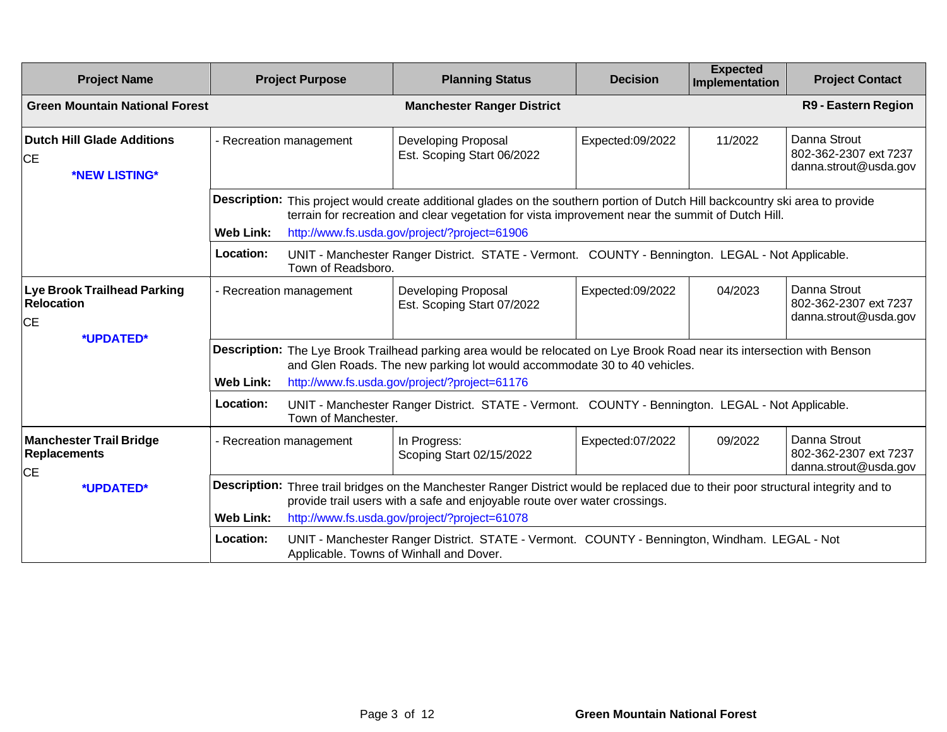| <b>Project Name</b>                                                  | <b>Project Purpose</b>                                                                                                                                                                                                                    |                                                                                                                                                                                                      | <b>Planning Status</b>                                                                                                                                                                                          | <b>Decision</b>  | <b>Expected</b><br>Implementation | <b>Project Contact</b>                                         |  |
|----------------------------------------------------------------------|-------------------------------------------------------------------------------------------------------------------------------------------------------------------------------------------------------------------------------------------|------------------------------------------------------------------------------------------------------------------------------------------------------------------------------------------------------|-----------------------------------------------------------------------------------------------------------------------------------------------------------------------------------------------------------------|------------------|-----------------------------------|----------------------------------------------------------------|--|
| <b>Green Mountain National Forest</b>                                |                                                                                                                                                                                                                                           |                                                                                                                                                                                                      | <b>Manchester Ranger District</b>                                                                                                                                                                               |                  |                                   | <b>R9 - Eastern Region</b>                                     |  |
| <b>Dutch Hill Glade Additions</b><br><b>CE</b><br>*NEW LISTING*      | - Recreation management                                                                                                                                                                                                                   |                                                                                                                                                                                                      | Developing Proposal<br>Est. Scoping Start 06/2022                                                                                                                                                               | Expected:09/2022 | 11/2022                           | Danna Strout<br>802-362-2307 ext 7237<br>danna.strout@usda.gov |  |
|                                                                      | <b>Description:</b> This project would create additional glades on the southern portion of Dutch Hill backcountry ski area to provide<br>terrain for recreation and clear vegetation for vista improvement near the summit of Dutch Hill. |                                                                                                                                                                                                      |                                                                                                                                                                                                                 |                  |                                   |                                                                |  |
|                                                                      | <b>Web Link:</b><br>Location:                                                                                                                                                                                                             | Town of Readsboro.                                                                                                                                                                                   | http://www.fs.usda.gov/project/?project=61906<br>UNIT - Manchester Ranger District. STATE - Vermont. COUNTY - Bennington. LEGAL - Not Applicable.                                                               |                  |                                   |                                                                |  |
| <b>Lye Brook Trailhead Parking</b><br><b>Relocation</b><br><b>CE</b> |                                                                                                                                                                                                                                           | - Recreation management                                                                                                                                                                              | Developing Proposal<br>Est. Scoping Start 07/2022                                                                                                                                                               | Expected:09/2022 | 04/2023                           | Danna Strout<br>802-362-2307 ext 7237<br>danna.strout@usda.gov |  |
| *UPDATED*                                                            |                                                                                                                                                                                                                                           | Description: The Lye Brook Trailhead parking area would be relocated on Lye Brook Road near its intersection with Benson<br>and Glen Roads. The new parking lot would accommodate 30 to 40 vehicles. |                                                                                                                                                                                                                 |                  |                                   |                                                                |  |
|                                                                      | <b>Web Link:</b>                                                                                                                                                                                                                          |                                                                                                                                                                                                      | http://www.fs.usda.gov/project/?project=61176                                                                                                                                                                   |                  |                                   |                                                                |  |
|                                                                      | Location:                                                                                                                                                                                                                                 | Town of Manchester.                                                                                                                                                                                  | UNIT - Manchester Ranger District. STATE - Vermont. COUNTY - Bennington. LEGAL - Not Applicable.                                                                                                                |                  |                                   |                                                                |  |
| <b>Manchester Trail Bridge</b><br><b>Replacements</b><br><b>CE</b>   |                                                                                                                                                                                                                                           | - Recreation management                                                                                                                                                                              | In Progress:<br>Scoping Start 02/15/2022                                                                                                                                                                        | Expected:07/2022 | 09/2022                           | Danna Strout<br>802-362-2307 ext 7237<br>danna.strout@usda.gov |  |
| *UPDATED*                                                            |                                                                                                                                                                                                                                           |                                                                                                                                                                                                      | Description: Three trail bridges on the Manchester Ranger District would be replaced due to their poor structural integrity and to<br>provide trail users with a safe and enjoyable route over water crossings. |                  |                                   |                                                                |  |
|                                                                      | <b>Web Link:</b>                                                                                                                                                                                                                          |                                                                                                                                                                                                      | http://www.fs.usda.gov/project/?project=61078                                                                                                                                                                   |                  |                                   |                                                                |  |
|                                                                      | Location:                                                                                                                                                                                                                                 |                                                                                                                                                                                                      | UNIT - Manchester Ranger District. STATE - Vermont. COUNTY - Bennington, Windham. LEGAL - Not<br>Applicable. Towns of Winhall and Dover.                                                                        |                  |                                   |                                                                |  |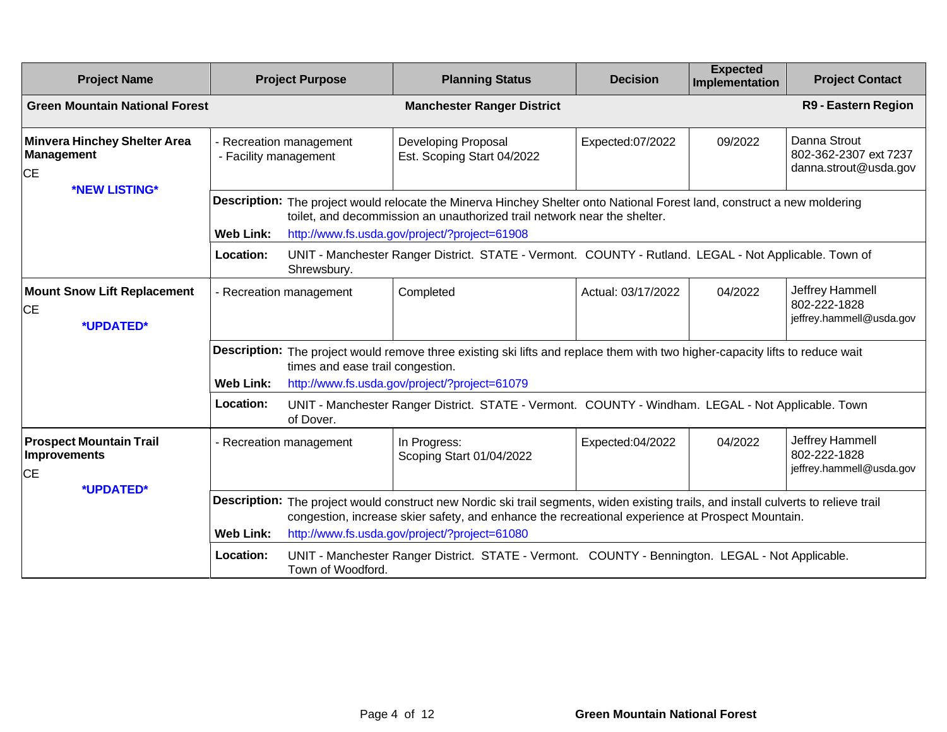| <b>Project Name</b>                                                   | <b>Project Purpose</b>                           | <b>Planning Status</b>                                                                                                                                                                                                                                                                    | <b>Decision</b>    | <b>Expected</b><br><b>Implementation</b> | <b>Project Contact</b>                                         |
|-----------------------------------------------------------------------|--------------------------------------------------|-------------------------------------------------------------------------------------------------------------------------------------------------------------------------------------------------------------------------------------------------------------------------------------------|--------------------|------------------------------------------|----------------------------------------------------------------|
| <b>Green Mountain National Forest</b>                                 |                                                  | <b>Manchester Ranger District</b>                                                                                                                                                                                                                                                         |                    |                                          | R9 - Eastern Region                                            |
| <b>Minvera Hinchey Shelter Area</b><br><b>Management</b><br><b>CE</b> | - Recreation management<br>- Facility management | Developing Proposal<br>Est. Scoping Start 04/2022                                                                                                                                                                                                                                         | Expected:07/2022   | 09/2022                                  | Danna Strout<br>802-362-2307 ext 7237<br>danna.strout@usda.gov |
| *NEW LISTING*                                                         | Web Link:                                        | Description: The project would relocate the Minerva Hinchey Shelter onto National Forest land, construct a new moldering<br>toilet, and decommission an unauthorized trail network near the shelter.<br>http://www.fs.usda.gov/project/?project=61908                                     |                    |                                          |                                                                |
|                                                                       | Location:<br>Shrewsbury.                         | UNIT - Manchester Ranger District. STATE - Vermont. COUNTY - Rutland. LEGAL - Not Applicable. Town of                                                                                                                                                                                     |                    |                                          |                                                                |
| <b>Mount Snow Lift Replacement</b><br>IСE<br>*UPDATED*                | - Recreation management                          | Completed                                                                                                                                                                                                                                                                                 | Actual: 03/17/2022 | 04/2022                                  | Jeffrey Hammell<br>802-222-1828<br>jeffrey.hammell@usda.gov    |
|                                                                       | Web Link:                                        | Description: The project would remove three existing ski lifts and replace them with two higher-capacity lifts to reduce wait<br>times and ease trail congestion.<br>http://www.fs.usda.gov/project/?project=61079                                                                        |                    |                                          |                                                                |
|                                                                       | Location:<br>of Dover.                           | UNIT - Manchester Ranger District. STATE - Vermont. COUNTY - Windham. LEGAL - Not Applicable. Town                                                                                                                                                                                        |                    |                                          |                                                                |
| <b>Prospect Mountain Trail</b><br>Improvements<br><b>CE</b>           | - Recreation management                          | In Progress:<br>Scoping Start 01/04/2022                                                                                                                                                                                                                                                  | Expected:04/2022   | 04/2022                                  | Jeffrey Hammell<br>802-222-1828<br>jeffrey.hammell@usda.gov    |
| *UPDATED*                                                             | <b>Web Link:</b>                                 | Description: The project would construct new Nordic ski trail segments, widen existing trails, and install culverts to relieve trail<br>congestion, increase skier safety, and enhance the recreational experience at Prospect Mountain.<br>http://www.fs.usda.gov/project/?project=61080 |                    |                                          |                                                                |
|                                                                       | Location:<br>Town of Woodford.                   | UNIT - Manchester Ranger District. STATE - Vermont. COUNTY - Bennington. LEGAL - Not Applicable.                                                                                                                                                                                          |                    |                                          |                                                                |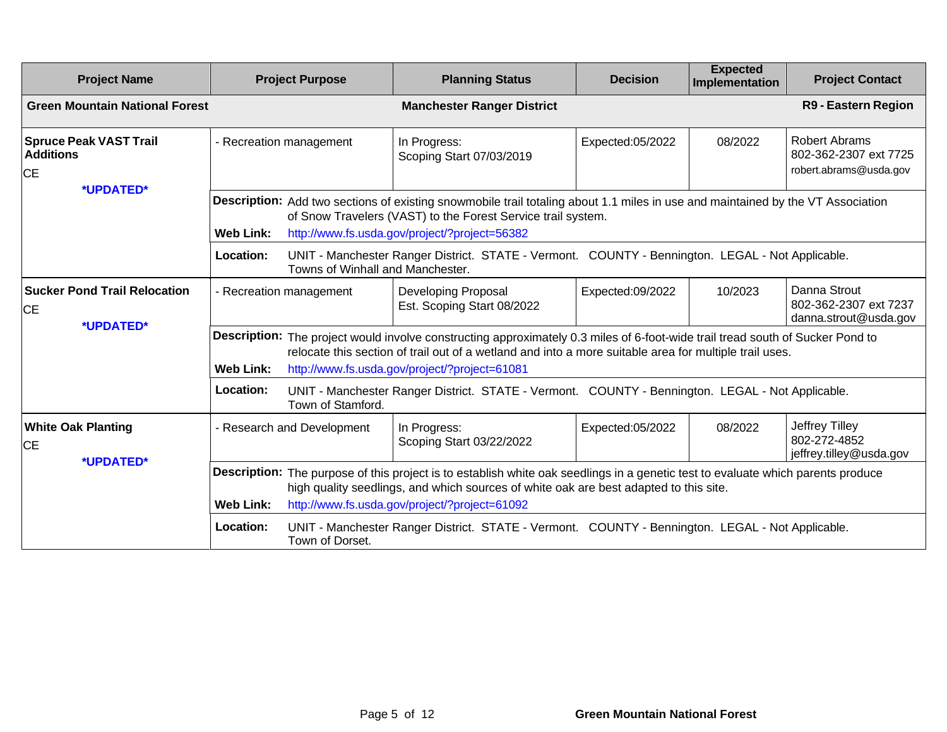| <b>Project Name</b>                                            |                         | <b>Project Purpose</b>                                                                                                                                                                                                                                                     | <b>Planning Status</b>                                                                                                                                                                                                                                                                    | <b>Decision</b>  | <b>Expected</b><br>Implementation | <b>Project Contact</b>                                           |
|----------------------------------------------------------------|-------------------------|----------------------------------------------------------------------------------------------------------------------------------------------------------------------------------------------------------------------------------------------------------------------------|-------------------------------------------------------------------------------------------------------------------------------------------------------------------------------------------------------------------------------------------------------------------------------------------|------------------|-----------------------------------|------------------------------------------------------------------|
| <b>Green Mountain National Forest</b>                          |                         |                                                                                                                                                                                                                                                                            | <b>Manchester Ranger District</b>                                                                                                                                                                                                                                                         |                  |                                   | R9 - Eastern Region                                              |
| <b>Spruce Peak VAST Trail</b><br><b>Additions</b><br><b>CE</b> | - Recreation management |                                                                                                                                                                                                                                                                            | In Progress:<br>Scoping Start 07/03/2019                                                                                                                                                                                                                                                  | Expected:05/2022 | 08/2022                           | Robert Abrams<br>802-362-2307 ext 7725<br>robert.abrams@usda.gov |
| *UPDATED*                                                      | <b>Web Link:</b>        |                                                                                                                                                                                                                                                                            | Description: Add two sections of existing snowmobile trail totaling about 1.1 miles in use and maintained by the VT Association<br>of Snow Travelers (VAST) to the Forest Service trail system.<br>http://www.fs.usda.gov/project/?project=56382                                          |                  |                                   |                                                                  |
|                                                                | Location:               | Towns of Winhall and Manchester.                                                                                                                                                                                                                                           | UNIT - Manchester Ranger District. STATE - Vermont. COUNTY - Bennington. LEGAL - Not Applicable.                                                                                                                                                                                          |                  |                                   |                                                                  |
| <b>Sucker Pond Trail Relocation</b><br><b>CE</b><br>*UPDATED*  | - Recreation management |                                                                                                                                                                                                                                                                            | Developing Proposal<br>Est. Scoping Start 08/2022                                                                                                                                                                                                                                         | Expected:09/2022 | 10/2023                           | Danna Strout<br>802-362-2307 ext 7237<br>danna.strout@usda.gov   |
|                                                                | <b>Web Link:</b>        |                                                                                                                                                                                                                                                                            | Description: The project would involve constructing approximately 0.3 miles of 6-foot-wide trail tread south of Sucker Pond to<br>relocate this section of trail out of a wetland and into a more suitable area for multiple trail uses.<br>http://www.fs.usda.gov/project/?project=61081 |                  |                                   |                                                                  |
|                                                                | Location:               | Town of Stamford.                                                                                                                                                                                                                                                          | UNIT - Manchester Ranger District. STATE - Vermont. COUNTY - Bennington. LEGAL - Not Applicable.                                                                                                                                                                                          |                  |                                   |                                                                  |
| <b>White Oak Planting</b><br><b>CE</b><br>*UPDATED*            |                         | - Research and Development                                                                                                                                                                                                                                                 | In Progress:<br>Scoping Start 03/22/2022                                                                                                                                                                                                                                                  | Expected:05/2022 | 08/2022                           | Jeffrey Tilley<br>802-272-4852<br>jeffrey.tilley@usda.gov        |
|                                                                | <b>Web Link:</b>        | Description: The purpose of this project is to establish white oak seedlings in a genetic test to evaluate which parents produce<br>high quality seedlings, and which sources of white oak are best adapted to this site.<br>http://www.fs.usda.gov/project/?project=61092 |                                                                                                                                                                                                                                                                                           |                  |                                   |                                                                  |
|                                                                | Location:               | Town of Dorset.                                                                                                                                                                                                                                                            | UNIT - Manchester Ranger District. STATE - Vermont. COUNTY - Bennington. LEGAL - Not Applicable.                                                                                                                                                                                          |                  |                                   |                                                                  |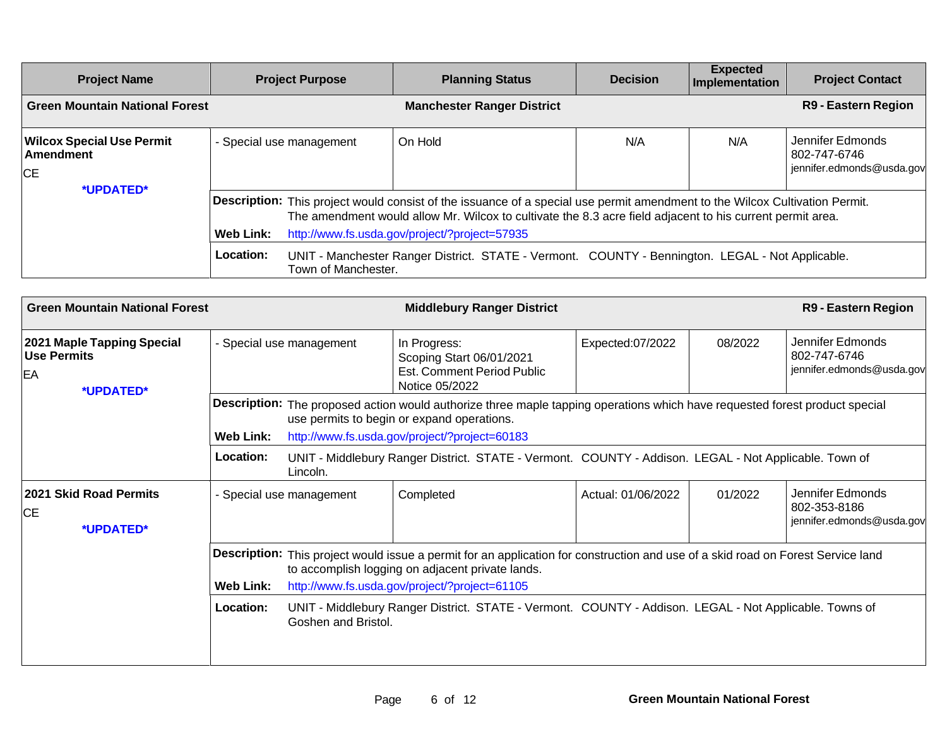| <b>Project Name</b>                                        | <b>Project Purpose</b>        | <b>Planning Status</b>                                                                                                                                                                                                                                                                                                                                                                        | <b>Decision</b> | <b>Expected</b><br>Implementation | <b>Project Contact</b>                                        |  |  |
|------------------------------------------------------------|-------------------------------|-----------------------------------------------------------------------------------------------------------------------------------------------------------------------------------------------------------------------------------------------------------------------------------------------------------------------------------------------------------------------------------------------|-----------------|-----------------------------------|---------------------------------------------------------------|--|--|
| <b>Green Mountain National Forest</b>                      |                               | <b>Manchester Ranger District</b>                                                                                                                                                                                                                                                                                                                                                             |                 |                                   | <b>R9 - Eastern Region</b>                                    |  |  |
| <b>Wilcox Special Use Permit</b><br>Amendment<br><b>CE</b> | - Special use management      | On Hold                                                                                                                                                                                                                                                                                                                                                                                       | N/A             | N/A                               | Jennifer Edmonds<br>802-747-6746<br>jennifer.edmonds@usda.gov |  |  |
| *UPDATED*                                                  | <b>Web Link:</b><br>Location: | Description: This project would consist of the issuance of a special use permit amendment to the Wilcox Cultivation Permit.<br>The amendment would allow Mr. Wilcox to cultivate the 8.3 acre field adjacent to his current permit area.<br>http://www.fs.usda.gov/project/?project=57935<br>UNIT - Manchester Ranger District. STATE - Vermont. COUNTY - Bennington. LEGAL - Not Applicable. |                 |                                   |                                                               |  |  |
|                                                            | Town of Manchester.           |                                                                                                                                                                                                                                                                                                                                                                                               |                 |                                   |                                                               |  |  |

| <b>Green Mountain National Forest</b>                               |                               |                                      | <b>Middlebury Ranger District</b>                                                                                                                                                                                                                                                                                                               |                    |         | R9 - Eastern Region                                           |
|---------------------------------------------------------------------|-------------------------------|--------------------------------------|-------------------------------------------------------------------------------------------------------------------------------------------------------------------------------------------------------------------------------------------------------------------------------------------------------------------------------------------------|--------------------|---------|---------------------------------------------------------------|
| 2021 Maple Tapping Special<br><b>Use Permits</b><br>EA<br>*UPDATED* |                               | - Special use management             | In Progress:<br>Scoping Start 06/01/2021<br>Est. Comment Period Public<br>Notice 05/2022                                                                                                                                                                                                                                                        | Expected:07/2022   | 08/2022 | Jennifer Edmonds<br>802-747-6746<br>jennifer.edmonds@usda.gov |
|                                                                     | <b>Web Link:</b><br>Location: |                                      | Description: The proposed action would authorize three maple tapping operations which have requested forest product special<br>use permits to begin or expand operations.<br>http://www.fs.usda.gov/project/?project=60183<br>UNIT - Middlebury Ranger District. STATE - Vermont. COUNTY - Addison. LEGAL - Not Applicable. Town of             |                    |         |                                                               |
| 2021 Skid Road Permits<br><b>CE</b><br>*UPDATED*                    |                               | Lincoln.<br>- Special use management | Completed                                                                                                                                                                                                                                                                                                                                       | Actual: 01/06/2022 | 01/2022 | Jennifer Edmonds<br>802-353-8186<br>jennifer.edmonds@usda.gov |
|                                                                     | <b>Web Link:</b><br>Location: | Goshen and Bristol.                  | Description: This project would issue a permit for an application for construction and use of a skid road on Forest Service land<br>to accomplish logging on adjacent private lands.<br>http://www.fs.usda.gov/project/?project=61105<br>UNIT - Middlebury Ranger District. STATE - Vermont. COUNTY - Addison. LEGAL - Not Applicable. Towns of |                    |         |                                                               |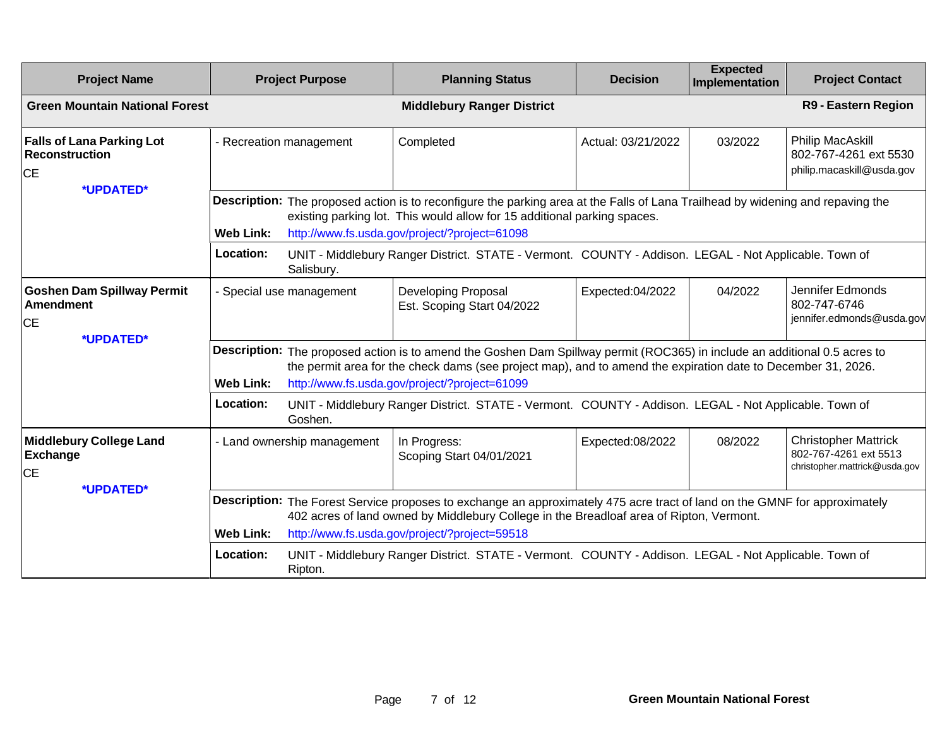| <b>Project Name</b>                                                             | <b>Project Purpose</b>                   | <b>Planning Status</b>                                                                                                                                                                                                                                                                      | <b>Decision</b>    | <b>Expected</b><br><b>Implementation</b> | <b>Project Contact</b>                                                                |  |
|---------------------------------------------------------------------------------|------------------------------------------|---------------------------------------------------------------------------------------------------------------------------------------------------------------------------------------------------------------------------------------------------------------------------------------------|--------------------|------------------------------------------|---------------------------------------------------------------------------------------|--|
| <b>Green Mountain National Forest</b>                                           |                                          | <b>Middlebury Ranger District</b>                                                                                                                                                                                                                                                           |                    |                                          | R9 - Eastern Region                                                                   |  |
| <b>Falls of Lana Parking Lot</b><br><b>Reconstruction</b><br><b>CE</b>          | - Recreation management                  | Completed                                                                                                                                                                                                                                                                                   | Actual: 03/21/2022 | 03/2022                                  | <b>Philip MacAskill</b><br>802-767-4261 ext 5530<br>philip.macaskill@usda.gov         |  |
| *UPDATED*                                                                       | <b>Web Link:</b>                         | Description: The proposed action is to reconfigure the parking area at the Falls of Lana Trailhead by widening and repaving the<br>existing parking lot. This would allow for 15 additional parking spaces.<br>http://www.fs.usda.gov/project/?project=61098                                |                    |                                          |                                                                                       |  |
|                                                                                 | Location:<br>Salisbury.                  | UNIT - Middlebury Ranger District. STATE - Vermont. COUNTY - Addison. LEGAL - Not Applicable. Town of                                                                                                                                                                                       |                    |                                          |                                                                                       |  |
| <b>Goshen Dam Spillway Permit</b><br><b>Amendment</b><br><b>CE</b><br>*UPDATED* | - Special use management                 | Developing Proposal<br>Est. Scoping Start 04/2022                                                                                                                                                                                                                                           | Expected:04/2022   | 04/2022                                  | Jennifer Edmonds<br>802-747-6746<br>jennifer.edmonds@usda.gov                         |  |
|                                                                                 | <b>Web Link:</b>                         | Description: The proposed action is to amend the Goshen Dam Spillway permit (ROC365) in include an additional 0.5 acres to<br>the permit area for the check dams (see project map), and to amend the expiration date to December 31, 2026.<br>http://www.fs.usda.gov/project/?project=61099 |                    |                                          |                                                                                       |  |
|                                                                                 | Location:<br>Goshen.                     | UNIT - Middlebury Ranger District. STATE - Vermont. COUNTY - Addison. LEGAL - Not Applicable. Town of                                                                                                                                                                                       |                    |                                          |                                                                                       |  |
| <b>Middlebury College Land</b><br><b>Exchange</b><br><b>CE</b>                  | - Land ownership management              | In Progress:<br>Scoping Start 04/01/2021                                                                                                                                                                                                                                                    | Expected:08/2022   | 08/2022                                  | <b>Christopher Mattrick</b><br>802-767-4261 ext 5513<br>christopher.mattrick@usda.gov |  |
| *UPDATED*                                                                       |                                          | Description: The Forest Service proposes to exchange an approximately 475 acre tract of land on the GMNF for approximately<br>402 acres of land owned by Middlebury College in the Breadloaf area of Ripton, Vermont.                                                                       |                    |                                          |                                                                                       |  |
|                                                                                 | <b>Web Link:</b><br>Location:<br>Ripton. | http://www.fs.usda.gov/project/?project=59518<br>UNIT - Middlebury Ranger District. STATE - Vermont. COUNTY - Addison. LEGAL - Not Applicable. Town of                                                                                                                                      |                    |                                          |                                                                                       |  |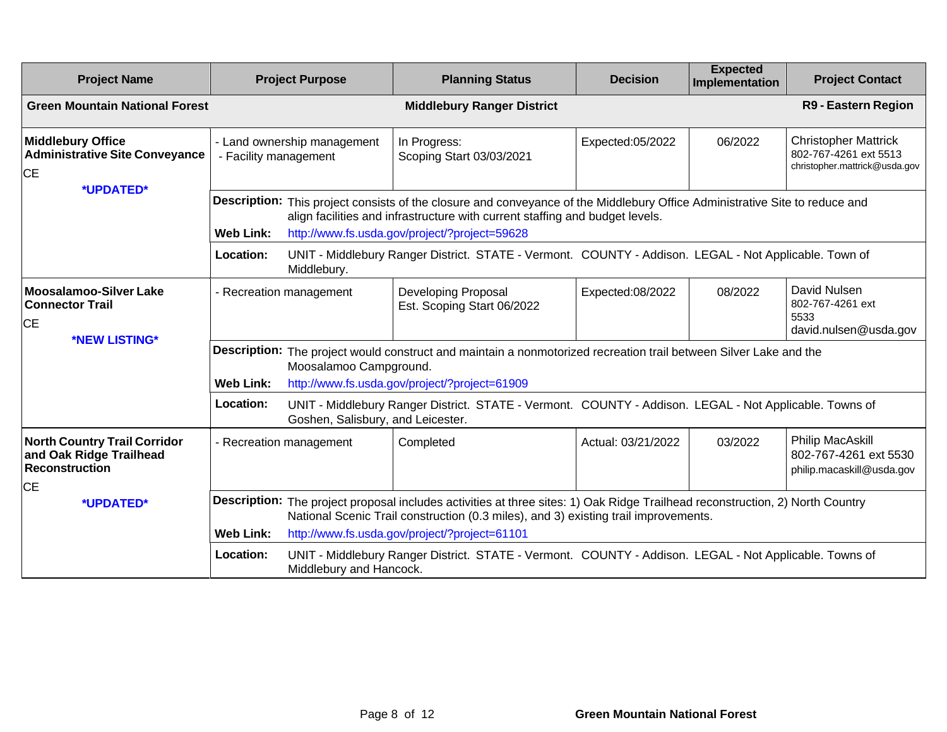| <b>Project Name</b>                                                                                  | <b>Project Purpose</b>                               | <b>Planning Status</b>                                                                                                                                                                                                                                                | <b>Decision</b>    | <b>Expected</b><br><b>Implementation</b> | <b>Project Contact</b>                                                                |
|------------------------------------------------------------------------------------------------------|------------------------------------------------------|-----------------------------------------------------------------------------------------------------------------------------------------------------------------------------------------------------------------------------------------------------------------------|--------------------|------------------------------------------|---------------------------------------------------------------------------------------|
| <b>Green Mountain National Forest</b>                                                                |                                                      | <b>Middlebury Ranger District</b>                                                                                                                                                                                                                                     |                    |                                          | R9 - Eastern Region                                                                   |
| <b>Middlebury Office</b><br><b>Administrative Site Conveyance</b><br><b>CE</b>                       | - Land ownership management<br>- Facility management | In Progress:<br>Scoping Start 03/03/2021                                                                                                                                                                                                                              | Expected:05/2022   | 06/2022                                  | <b>Christopher Mattrick</b><br>802-767-4261 ext 5513<br>christopher.mattrick@usda.gov |
| *UPDATED*                                                                                            | <b>Web Link:</b>                                     | Description: This project consists of the closure and conveyance of the Middlebury Office Administrative Site to reduce and<br>align facilities and infrastructure with current staffing and budget levels.<br>http://www.fs.usda.gov/project/?project=59628          |                    |                                          |                                                                                       |
|                                                                                                      | Location:<br>Middlebury.                             | UNIT - Middlebury Ranger District. STATE - Vermont. COUNTY - Addison. LEGAL - Not Applicable. Town of                                                                                                                                                                 |                    |                                          |                                                                                       |
| <b>Moosalamoo-Silver Lake</b><br><b>Connector Trail</b><br><b>CE</b><br>*NEW LISTING*                | - Recreation management                              | Developing Proposal<br>Est. Scoping Start 06/2022                                                                                                                                                                                                                     | Expected:08/2022   | 08/2022                                  | David Nulsen<br>802-767-4261 ext<br>5533<br>david.nulsen@usda.gov                     |
|                                                                                                      | Moosalamoo Campground.<br><b>Web Link:</b>           | Description: The project would construct and maintain a nonmotorized recreation trail between Silver Lake and the<br>http://www.fs.usda.gov/project/?project=61909                                                                                                    |                    |                                          |                                                                                       |
|                                                                                                      | Location:<br>Goshen, Salisbury, and Leicester.       | UNIT - Middlebury Ranger District. STATE - Vermont. COUNTY - Addison. LEGAL - Not Applicable. Towns of                                                                                                                                                                |                    |                                          |                                                                                       |
| <b>North Country Trail Corridor</b><br>and Oak Ridge Trailhead<br><b>Reconstruction</b><br><b>CE</b> | - Recreation management                              | Completed                                                                                                                                                                                                                                                             | Actual: 03/21/2022 | 03/2022                                  | Philip MacAskill<br>802-767-4261 ext 5530<br>philip.macaskill@usda.gov                |
| *UPDATED*                                                                                            | <b>Web Link:</b>                                     | Description: The project proposal includes activities at three sites: 1) Oak Ridge Trailhead reconstruction, 2) North Country<br>National Scenic Trail construction (0.3 miles), and 3) existing trail improvements.<br>http://www.fs.usda.gov/project/?project=61101 |                    |                                          |                                                                                       |
|                                                                                                      | Location:<br>Middlebury and Hancock.                 | UNIT - Middlebury Ranger District. STATE - Vermont. COUNTY - Addison. LEGAL - Not Applicable. Towns of                                                                                                                                                                |                    |                                          |                                                                                       |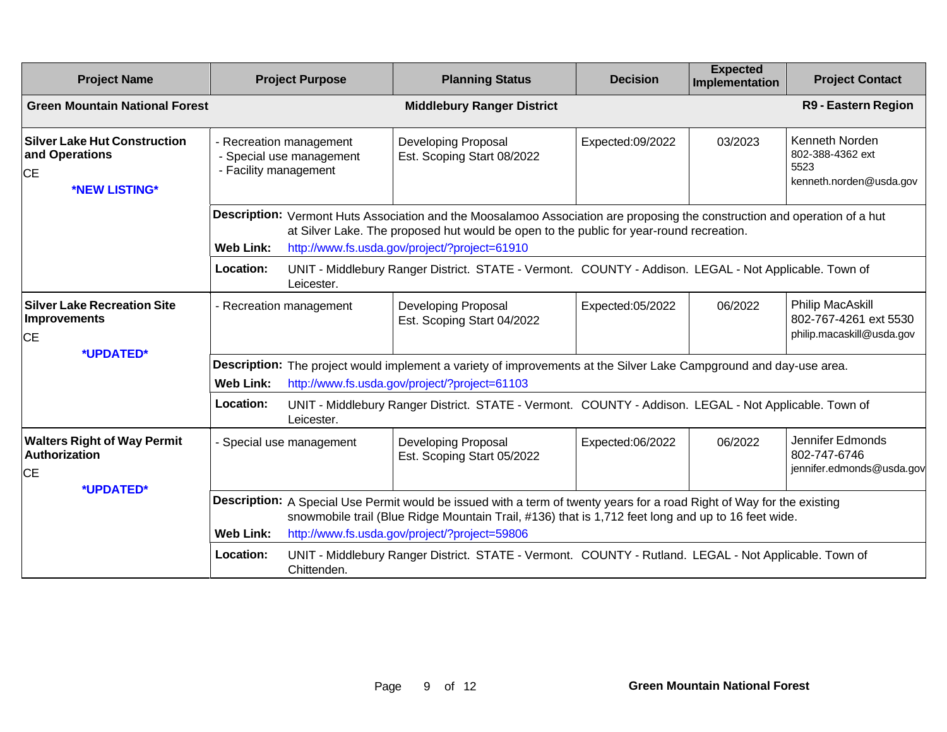| <b>Project Name</b>                                                                 |                                                                              | <b>Project Purpose</b>                                                                                                                                                                                                                                                        | <b>Planning Status</b>                                                                                | <b>Decision</b>  | <b>Expected</b><br>Implementation | <b>Project Contact</b>                                                 |  |
|-------------------------------------------------------------------------------------|------------------------------------------------------------------------------|-------------------------------------------------------------------------------------------------------------------------------------------------------------------------------------------------------------------------------------------------------------------------------|-------------------------------------------------------------------------------------------------------|------------------|-----------------------------------|------------------------------------------------------------------------|--|
| <b>Green Mountain National Forest</b>                                               |                                                                              |                                                                                                                                                                                                                                                                               | <b>Middlebury Ranger District</b>                                                                     |                  |                                   | R9 - Eastern Region                                                    |  |
| <b>Silver Lake Hut Construction</b><br>and Operations<br><b>CE</b><br>*NEW LISTING* | - Recreation management<br>- Special use management<br>- Facility management |                                                                                                                                                                                                                                                                               | Developing Proposal<br>Est. Scoping Start 08/2022                                                     | Expected:09/2022 | 03/2023                           | Kenneth Norden<br>802-388-4362 ext<br>5523<br>kenneth.norden@usda.gov  |  |
|                                                                                     | <b>Web Link:</b>                                                             | Description: Vermont Huts Association and the Moosalamoo Association are proposing the construction and operation of a hut<br>at Silver Lake. The proposed hut would be open to the public for year-round recreation.<br>http://www.fs.usda.gov/project/?project=61910        |                                                                                                       |                  |                                   |                                                                        |  |
|                                                                                     | Location:                                                                    | Leicester.                                                                                                                                                                                                                                                                    | UNIT - Middlebury Ranger District. STATE - Vermont. COUNTY - Addison. LEGAL - Not Applicable. Town of |                  |                                   |                                                                        |  |
| <b>Silver Lake Recreation Site</b><br>Improvements<br><b>CE</b>                     | - Recreation management                                                      |                                                                                                                                                                                                                                                                               | Developing Proposal<br>Est. Scoping Start 04/2022                                                     | Expected:05/2022 | 06/2022                           | Philip MacAskill<br>802-767-4261 ext 5530<br>philip.macaskill@usda.gov |  |
| *UPDATED*                                                                           | <b>Web Link:</b>                                                             | Description: The project would implement a variety of improvements at the Silver Lake Campground and day-use area.<br>http://www.fs.usda.gov/project/?project=61103                                                                                                           |                                                                                                       |                  |                                   |                                                                        |  |
|                                                                                     | Location:                                                                    | Leicester.                                                                                                                                                                                                                                                                    | UNIT - Middlebury Ranger District. STATE - Vermont. COUNTY - Addison. LEGAL - Not Applicable. Town of |                  |                                   |                                                                        |  |
| <b>Walters Right of Way Permit</b><br>Authorization<br><b>CE</b><br>*UPDATED*       |                                                                              | - Special use management                                                                                                                                                                                                                                                      | Developing Proposal<br>Est. Scoping Start 05/2022                                                     | Expected:06/2022 | 06/2022                           | Jennifer Edmonds<br>802-747-6746<br>jennifer.edmonds@usda.gov          |  |
|                                                                                     | <b>Web Link:</b>                                                             | Description: A Special Use Permit would be issued with a term of twenty years for a road Right of Way for the existing<br>snowmobile trail (Blue Ridge Mountain Trail, #136) that is 1,712 feet long and up to 16 feet wide.<br>http://www.fs.usda.gov/project/?project=59806 |                                                                                                       |                  |                                   |                                                                        |  |
|                                                                                     | Location:                                                                    | Chittenden.                                                                                                                                                                                                                                                                   | UNIT - Middlebury Ranger District. STATE - Vermont. COUNTY - Rutland. LEGAL - Not Applicable. Town of |                  |                                   |                                                                        |  |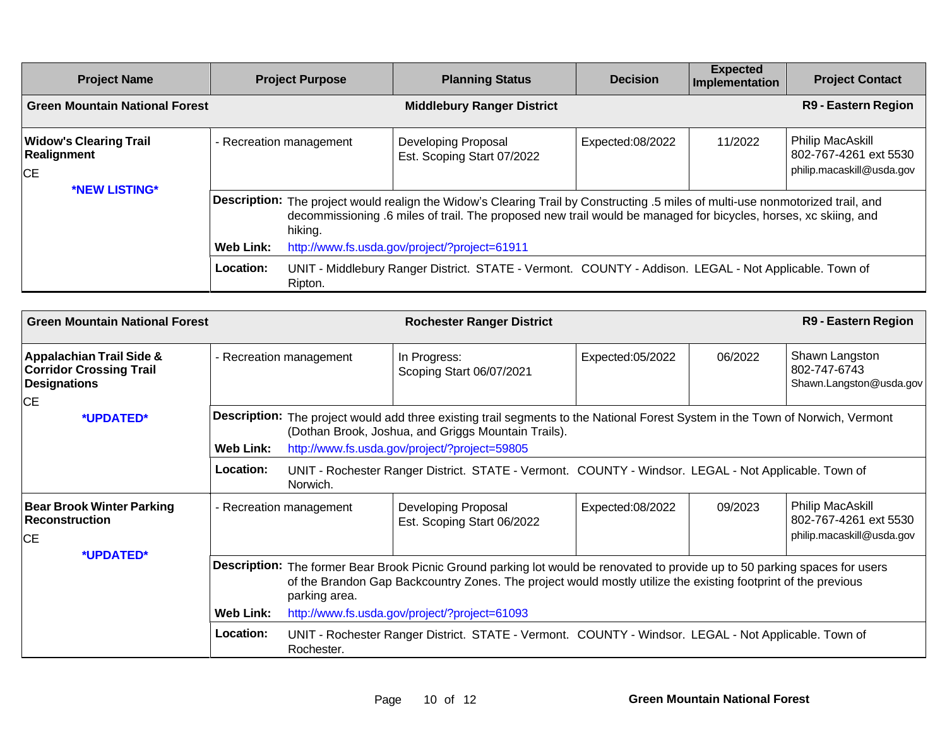| <b>Project Name</b>                                       |                                                                                                                                                                                                                                                                                                                             | <b>Project Purpose</b> | <b>Planning Status</b>                                                                                | <b>Decision</b>  | <b>Expected</b><br>Implementation | <b>Project Contact</b>                                                        |
|-----------------------------------------------------------|-----------------------------------------------------------------------------------------------------------------------------------------------------------------------------------------------------------------------------------------------------------------------------------------------------------------------------|------------------------|-------------------------------------------------------------------------------------------------------|------------------|-----------------------------------|-------------------------------------------------------------------------------|
| <b>Green Mountain National Forest</b>                     |                                                                                                                                                                                                                                                                                                                             |                        | <b>Middlebury Ranger District</b>                                                                     |                  |                                   | <b>R9 - Eastern Region</b>                                                    |
| <b>Widow's Clearing Trail</b><br>Realignment<br><b>CE</b> | - Recreation management                                                                                                                                                                                                                                                                                                     |                        | <b>Developing Proposal</b><br>Est. Scoping Start 07/2022                                              | Expected:08/2022 | 11/2022                           | <b>Philip MacAskill</b><br>802-767-4261 ext 5530<br>philip.macaskill@usda.gov |
| *NEW LISTING*                                             | Description: The project would realign the Widow's Clearing Trail by Constructing .5 miles of multi-use nonmotorized trail, and<br>decommissioning .6 miles of trail. The proposed new trail would be managed for bicycles, horses, xc skiing, and<br>hiking.<br>Web Link:<br>http://www.fs.usda.gov/project/?project=61911 |                        |                                                                                                       |                  |                                   |                                                                               |
|                                                           | Location:                                                                                                                                                                                                                                                                                                                   | Ripton.                | UNIT - Middlebury Ranger District. STATE - Vermont. COUNTY - Addison. LEGAL - Not Applicable. Town of |                  |                                   |                                                                               |

| <b>Green Mountain National Forest</b>                                                                     |                               | <b>Rochester Ranger District</b>                                                                                                                                                                                                                               |                                                                                                                                                                                                                                        |                  |         | R9 - Eastern Region                                                    |
|-----------------------------------------------------------------------------------------------------------|-------------------------------|----------------------------------------------------------------------------------------------------------------------------------------------------------------------------------------------------------------------------------------------------------------|----------------------------------------------------------------------------------------------------------------------------------------------------------------------------------------------------------------------------------------|------------------|---------|------------------------------------------------------------------------|
| <b>Appalachian Trail Side &amp;</b><br><b>Corridor Crossing Trail</b><br><b>Designations</b><br><b>CE</b> | - Recreation management       |                                                                                                                                                                                                                                                                | In Progress:<br>Scoping Start 06/07/2021                                                                                                                                                                                               | Expected:05/2022 | 06/2022 | Shawn Langston<br>802-747-6743<br>Shawn.Langston@usda.gov              |
| *UPDATED*                                                                                                 | <b>Web Link:</b>              |                                                                                                                                                                                                                                                                | Description: The project would add three existing trail segments to the National Forest System in the Town of Norwich, Vermont<br>(Dothan Brook, Joshua, and Griggs Mountain Trails).<br>http://www.fs.usda.gov/project/?project=59805 |                  |         |                                                                        |
|                                                                                                           | Location:                     | Norwich.                                                                                                                                                                                                                                                       | UNIT - Rochester Ranger District. STATE - Vermont. COUNTY - Windsor. LEGAL - Not Applicable. Town of                                                                                                                                   |                  |         |                                                                        |
| <b>Bear Brook Winter Parking</b><br><b>Reconstruction</b><br><b>CE</b>                                    |                               | - Recreation management                                                                                                                                                                                                                                        | Developing Proposal<br>Est. Scoping Start 06/2022                                                                                                                                                                                      | Expected:08/2022 | 09/2023 | Philip MacAskill<br>802-767-4261 ext 5530<br>philip.macaskill@usda.gov |
| *UPDATED*                                                                                                 |                               | Description: The former Bear Brook Picnic Ground parking lot would be renovated to provide up to 50 parking spaces for users<br>of the Brandon Gap Backcountry Zones. The project would mostly utilize the existing footprint of the previous<br>parking area. |                                                                                                                                                                                                                                        |                  |         |                                                                        |
|                                                                                                           | <b>Web Link:</b><br>Location: | Rochester.                                                                                                                                                                                                                                                     | http://www.fs.usda.gov/project/?project=61093<br>UNIT - Rochester Ranger District. STATE - Vermont. COUNTY - Windsor. LEGAL - Not Applicable. Town of                                                                                  |                  |         |                                                                        |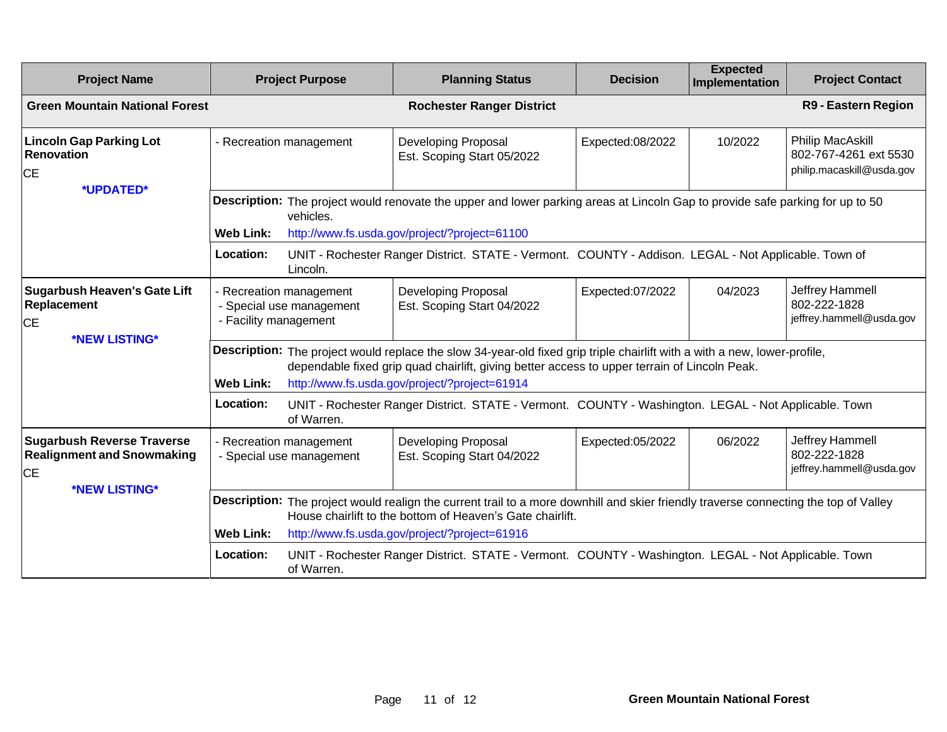| <b>Project Name</b>                                                                                  | <b>Project Purpose</b>                                                                                                                                                                                                                                                                         |                                                                                                                    | <b>Planning Status</b>                                   | <b>Decision</b>  | <b>Expected</b><br>Implementation | <b>Project Contact</b>                                                 |  |  |  |
|------------------------------------------------------------------------------------------------------|------------------------------------------------------------------------------------------------------------------------------------------------------------------------------------------------------------------------------------------------------------------------------------------------|--------------------------------------------------------------------------------------------------------------------|----------------------------------------------------------|------------------|-----------------------------------|------------------------------------------------------------------------|--|--|--|
| <b>Green Mountain National Forest</b>                                                                |                                                                                                                                                                                                                                                                                                |                                                                                                                    | <b>Rochester Ranger District</b>                         |                  |                                   | R9 - Eastern Region                                                    |  |  |  |
| <b>Lincoln Gap Parking Lot</b><br><b>Renovation</b><br><b>CE</b>                                     | - Recreation management                                                                                                                                                                                                                                                                        |                                                                                                                    | Developing Proposal<br>Est. Scoping Start 05/2022        | Expected:08/2022 | 10/2022                           | Philip MacAskill<br>802-767-4261 ext 5530<br>philip.macaskill@usda.gov |  |  |  |
| *UPDATED*                                                                                            | Description: The project would renovate the upper and lower parking areas at Lincoln Gap to provide safe parking for up to 50<br>vehicles.<br>http://www.fs.usda.gov/project/?project=61100<br><b>Web Link:</b>                                                                                |                                                                                                                    |                                                          |                  |                                   |                                                                        |  |  |  |
|                                                                                                      | UNIT - Rochester Ranger District. STATE - Vermont. COUNTY - Addison. LEGAL - Not Applicable. Town of<br>Location:<br>Lincoln.                                                                                                                                                                  |                                                                                                                    |                                                          |                  |                                   |                                                                        |  |  |  |
| <b>Sugarbush Heaven's Gate Lift</b><br>Replacement<br><b>CE</b>                                      | - Recreation management<br>- Special use management<br>- Facility management                                                                                                                                                                                                                   |                                                                                                                    | <b>Developing Proposal</b><br>Est. Scoping Start 04/2022 | Expected:07/2022 | 04/2023                           | Jeffrey Hammell<br>802-222-1828<br>jeffrey.hammell@usda.gov            |  |  |  |
| *NEW LISTING*                                                                                        | Description: The project would replace the slow 34-year-old fixed grip triple chairlift with a with a new, lower-profile,<br>dependable fixed grip quad chairlift, giving better access to upper terrain of Lincoln Peak.<br><b>Web Link:</b><br>http://www.fs.usda.gov/project/?project=61914 |                                                                                                                    |                                                          |                  |                                   |                                                                        |  |  |  |
|                                                                                                      | Location:                                                                                                                                                                                                                                                                                      | UNIT - Rochester Ranger District. STATE - Vermont. COUNTY - Washington. LEGAL - Not Applicable. Town<br>of Warren. |                                                          |                  |                                   |                                                                        |  |  |  |
| <b>Sugarbush Reverse Traverse</b><br><b>Realignment and Snowmaking</b><br><b>CE</b><br>*NEW LISTING* | - Recreation management<br>- Special use management                                                                                                                                                                                                                                            |                                                                                                                    | Developing Proposal<br>Est. Scoping Start 04/2022        | Expected:05/2022 | 06/2022                           | Jeffrey Hammell<br>802-222-1828<br>jeffrey.hammell@usda.gov            |  |  |  |
|                                                                                                      | Description: The project would realign the current trail to a more downhill and skier friendly traverse connecting the top of Valley<br>House chairlift to the bottom of Heaven's Gate chairlift.<br><b>Web Link:</b><br>http://www.fs.usda.gov/project/?project=61916                         |                                                                                                                    |                                                          |                  |                                   |                                                                        |  |  |  |
|                                                                                                      | UNIT - Rochester Ranger District. STATE - Vermont. COUNTY - Washington. LEGAL - Not Applicable. Town<br>Location:<br>of Warren.                                                                                                                                                                |                                                                                                                    |                                                          |                  |                                   |                                                                        |  |  |  |